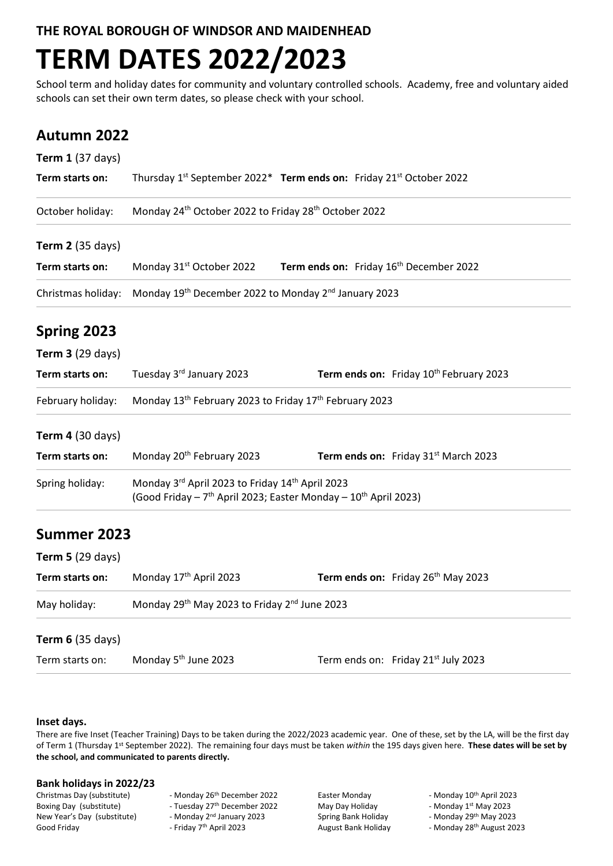**THE ROYAL BOROUGH OF WINDSOR AND MAIDENHEAD**

# **TERM DATES 2022/2023**

School term and holiday dates for community and voluntary controlled schools. Academy, free and voluntary aided schools can set their own term dates, so please check with your school.

### **Autumn 2022**

| <b>Term 1 (37 days)</b> |                                                                                                                                            |                                                     |                                                     |
|-------------------------|--------------------------------------------------------------------------------------------------------------------------------------------|-----------------------------------------------------|-----------------------------------------------------|
| Term starts on:         | Thursday 1st September 2022* Term ends on: Friday 21st October 2022                                                                        |                                                     |                                                     |
| October holiday:        | Monday 24 <sup>th</sup> October 2022 to Friday 28 <sup>th</sup> October 2022                                                               |                                                     |                                                     |
| <b>Term 2</b> (35 days) |                                                                                                                                            |                                                     |                                                     |
| Term starts on:         | Monday 31 <sup>st</sup> October 2022                                                                                                       | Term ends on: Friday 16 <sup>th</sup> December 2022 |                                                     |
| Christmas holiday:      | Monday 19th December 2022 to Monday 2nd January 2023                                                                                       |                                                     |                                                     |
| Spring 2023             |                                                                                                                                            |                                                     |                                                     |
| <b>Term 3 (29 days)</b> |                                                                                                                                            |                                                     |                                                     |
| Term starts on:         | Tuesday 3rd January 2023                                                                                                                   |                                                     | Term ends on: Friday 10 <sup>th</sup> February 2023 |
| February holiday:       | Monday 13 <sup>th</sup> February 2023 to Friday 17 <sup>th</sup> February 2023                                                             |                                                     |                                                     |
| <b>Term 4 (30 days)</b> |                                                                                                                                            |                                                     |                                                     |
| Term starts on:         | Monday 20 <sup>th</sup> February 2023                                                                                                      |                                                     | Term ends on: Friday 31 <sup>st</sup> March 2023    |
| Spring holiday:         | Monday 3rd April 2023 to Friday 14th April 2023<br>(Good Friday - 7 <sup>th</sup> April 2023; Easter Monday - 10 <sup>th</sup> April 2023) |                                                     |                                                     |
| Summer 2023             |                                                                                                                                            |                                                     |                                                     |
| <b>Term 5 (29 days)</b> |                                                                                                                                            |                                                     |                                                     |
| Term starts on:         | Monday 17 <sup>th</sup> April 2023                                                                                                         |                                                     | Term ends on: Friday 26 <sup>th</sup> May 2023      |
| May holiday:            | Monday 29th May 2023 to Friday 2nd June 2023                                                                                               |                                                     |                                                     |
| <b>Term 6 (35 days)</b> |                                                                                                                                            |                                                     |                                                     |
| Term starts on:         | Monday 5 <sup>th</sup> June 2023                                                                                                           |                                                     | Term ends on: Friday 21 <sup>st</sup> July 2023     |

### **Inset days.**

There are five Inset (Teacher Training) Days to be taken during the 2022/2023 academic year. One of these, set by the LA, will be the first day of Term 1 (Thursday 1<sup>st</sup> September 2022). The remaining four days must be taken *within* the 195 days given here. These dates will be set by **the school, and communicated to parents directly.**

# **Bank holidays in 2022/23**

New Year's Day (substitute) - Monday 2<sup>nd</sup> January 2023 Good Friday **- Friday 7<sup>th</sup> April 2023** August Bank Holiday - Monday 28<sup>th</sup> August 2023

Christmas Day (substitute) - Monday 26<sup>th</sup> December 2022 Easter Monday - Monday 10<sup>th</sup> April 2023<br>Boxing Day (substitute) - Tuesday 27<sup>th</sup> December 2022 May Day Holiday - Monday 1<sup>st</sup> May 2023 - Tuesday 27<sup>th</sup> December 2022

Spring Bank Holiday - Monday 29<sup>th</sup> May 2023